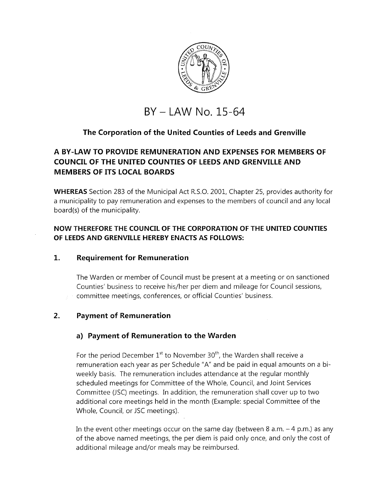

# **BY - LAW No. 15-64**

# **The Corporation of the United Counties of Leeds and Grenville**

# **A BY-LAW TO PROVIDE REMUNERATION AND EXPENSES FOR MEMBERS OF COUNCIL OF THE UNITED COUNTIES OF LEEDS AND GRENVILLE AND MEMBERS OF ITS LOCAL BOARDS**

**WHEREAS** Section 283 of the Municipal Act R.S.O. 2001, Chapter 25, provides authority for a municipality to pay remuneration and expenses to the members of council and any local board(s) of the municipality.

# **NOW THEREFORE THE COUNCIL OF THE CORPORATION OF THE UNITED COUNTIES OF LEEDS AND GRENVILLE HEREBY ENACTS AS FOLLOWS:**

## **1. Requirement for Remuneration**

The Warden or member of Council must be present at a meeting or on sanctioned Counties' business to receive his/her per diem and mileage for Council sessions, committee meetings, conferences, or official Counties' business.

## **2. Payment of Remuneration**

## **a) Payment of Remuneration to the Warden**

For the period December  $1^{st}$  to November 30<sup>th</sup>, the Warden shall receive a remuneration each year as per Schedule "A" and be paid in equal amounts on a biweekly basis. The remuneration includes attendance at the regular monthly scheduled meetings for Committee of the Whole, Council, and Joint Services Committee (JSC) meetings. In addition, the remuneration shall cover up to two additional core meetings held in the month (Example: special Committee of the Whole, Council, or JSC meetings).

In the event other meetings occur on the same day (between 8 a.m.  $-4$  p.m.) as any of the above named meetings, the per diem is paid only once, and only the cost of additional mileage and/or meals may be reimbursed.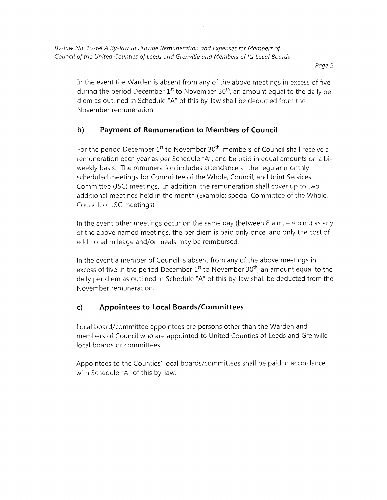Page 2

In the event the Warden is absent from any of the above meetings in excess of five during the period December  $1^{st}$  to November 30<sup>th</sup>, an amount equal to the daily per diem as outlined in Schedule "A" of this by-law shall be deducted from the November remuneration.

# **b) Payment of Remuneration to Members of Council**

For the period December  $1<sup>st</sup>$  to November 30<sup>th</sup>, members of Council shall receive a remuneration each year as per Schedule "A", and be paid in equal amounts on a biweekly basis. The remuneration includes attendance at the regular monthly scheduled meetings for Committee of the Whole, Council, and Joint Services Committee (JSC) meetings. In addition, the remuneration shall cover up to two additional meetings held in the month (Example: special Committee of the Whole, Council, or JSC meetings).

In the event other meetings occur on the same day (between 8 a.m.  $-$  4 p.m.) as any of the above named meetings, the per diem is paid only once, and only the cost of additional mileage and/or meals may be reimbursed.

In the event a member of Council is absent from any of the above meetings in excess of five in the period December  $1<sup>st</sup>$  to November 30<sup>th</sup>, an amount equal to the daily per diem as outlined in Schedule "A" of this by-law shall be deducted from the November remuneration.

# **c) Appointees to Local Boards/Committees**

Local board/committee appointees are persons other than the Warden and members of Council who are appointed to United Counties of Leeds and Grenville local boards or committees.

Appointees to the Counties' local boards/committees shall be paid in accordance with Schedule "A" of this by-law.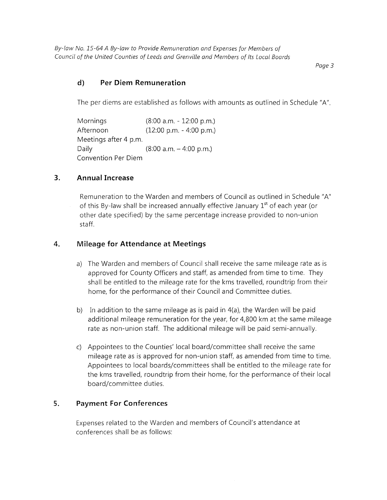By-law No. 15-64 A By-law to Provide Remuneration and Expenses for Members of Council of the United Counties of Leeds and Grenville and Members of Its Local Boards

Page 3

# **d) Per Diem Remuneration**

The per diems are established as follows with amounts as outlined in Schedule "A".

Mornings (8:00 a.m. - 12:00 p.m.) Afternoon (12:00 p.m. - 4:00 p.m.) Meetings after 4 p.m. Daily (8:00 a.m. - 4:00 p.m.) Convention Per Diem

#### **3. Annual Increase**

Remuneration to the Warden and members of Council as outlined in Schedule "A" of this By-law shall be increased annually effective January 1<sup>st</sup> of each year (or other date specified) by the same percentage increase provided to non-union staff.

#### **4. Mileage for Attendance at Meetings**

- a) The Warden and members of Council shall receive the same mileage rate as is approved for County Officers and staff, as amended from time to time. They shall be entitled to the mileage rate for the kms travelled, roundtrip from their home, for the performance of their Council and Committee duties.
- b) In addition to the same mileage as is paid in 4(a), the Warden will be paid additional mileage remuneration for the year, for 4,800 km at the same mileage rate as non-union staff. The additional mileage will be paid semi-annually.
- c) Appointees to the Counties' local board/committee shall receive the same mileage rate as is approved for non-union staff, as amended from time to time. Appointees to local boards/committees shall be entitled to the mileage rate for the kms travelled, roundtrip from their home, for the performance of their local board/committee duties.

#### **5. Payment For Conferences**

Expenses related to the Warden and members of Council's attendance at conferences shall be as follows: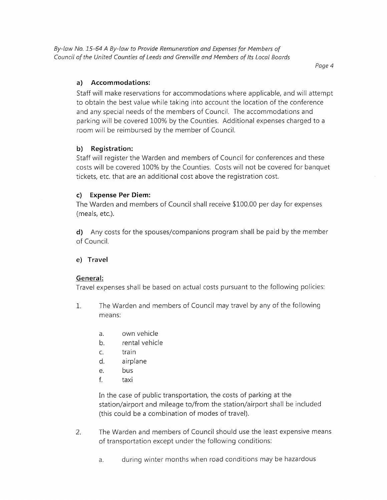By-law No. 15-64 A By-law to Provide Remuneration and Expenses for Members of Council of the United Counties of Leeds and Grenville and Members of Its Local Boards

Page 4

## **a) Accommodations:**

Staff will make reservations for accommodations where applicable, and will attempt to obtain the best value while taking into account the location of the conference and any special needs of the members of Council. The accommodations and parking will be covered 100% by the Counties. Additional expenses charged to a room will be reimbursed by the member of Council.

#### **b) Registration:**

Staff will register the Warden and members of Council for conferences and these costs will be covered 100% by the Counties. Costs will not be covered for banquet tickets, etc. that are an additional cost above the registration cost.

#### **c) Expense Per Diem:**

The Warden and members of Council shall receive \$100.00 per day for expenses (meals, etc.).

**d)** Any costs for the spouses/companions program shall be paid by the member of Council.

#### **e) Travel**

## **General:**

Travel expenses shall be based on actual costs pursuant to the following policies:

- 1. The Warden and members of Council may travel by any of the following means:
	- a. own vehicle
	- b. rental vehicle
	- C. train
	- d. airplane
	- e. bus
	- f. taxi

In the case of public transportation, the costs of parking at the station/airport and mileage to/from the station/airport shall be included (this could be a combination of modes of travel).

- 2. The Warden and members of Council should use the least expensive means of transportation except under the following conditions:
	- a. during winter months when road conditions may be hazardous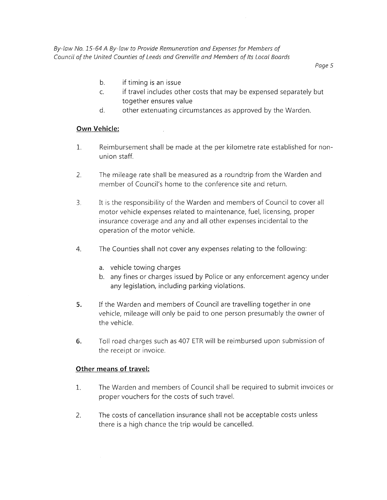*By-law No. 15-64 A By-law to Provide Remuneration and Expenses for Members of Council of the United Counties of Leeds and Grenville and Members of Its Local Boards* 

*Page 5* 

- b. if timing is an issue
- c. if travel includes other costs that may be expensed separately but together ensures value
- d. other extenuating circumstances as approved by the Warden.

#### **Own Vehicle:**

- 1. Reimbursement shall be made at the per kilometre rate established for nonunion staff.
- 2. The mileage rate shall be measured as a roundtrip from the Warden and member of Council's home to the conference site and return.
- 3. It is the responsibility of the Warden and members of Council to cover all motor vehicle expenses related to maintenance, fuel, licensing, proper insurance coverage and any and all other expenses incidental to the operation of the motor vehicle.
- 4. The Counties shall not cover any expenses relating to the following:
	- a. vehicle towing charges
	- b. any fines or charges issued by Police or any enforcement agency under any legislation, including parking violations.
- **5.** If the Warden and members of Council are travelling together in one vehicle, mileage will only be paid to one person presumably the owner of the vehicle.
- **6.** Toll road charges such as 407 ETR will be reimbursed upon submission of the receipt or invoice.

## **Other means of travel:**

- 1. The Warden and members of Council shall be required to submit invoices or proper vouchers for the costs of such travel.
- 2. The costs of cancellation insurance shall not be acceptable costs unless there is a high chance the trip would be cancelled.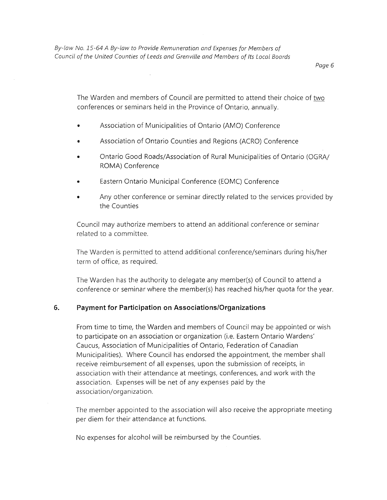Page 6

The Warden and members of Council are permitted to attend their choice of two conferences or seminars held in the Province of Ontario, annually.

- Association of Municipalities of Ontario (AMO) Conference
- Association of Ontario Counties and Regions (ACRO) Conference
- Ontario Good Roads/Association of Rural Municipalities of Ontario (OGRA/ ROMA) Conference
- Eastern Ontario Municipal Conference (EOMC) Conference
- Any other conference or seminar directly related to the services provided by the Counties

Council may authorize members to attend an additional conference or seminar related to a committee.

The Warden is permitted to attend additional conference/seminars during his/her term of office, as required.

The Warden has the authority to delegate any member(s) of Council to attend a conference or seminar where the member(s) has reached his/her quota for the year.

#### **6. Payment for Participation on Associations/Organizations**

From time to time, the Warden and members of Council may be appointed or wish to participate on an association or organization (i.e. Eastern Ontario Wardens' Caucus, Association of Municipalities of Ontario, Federation of Canadian Municipalities). Where Council has endorsed the appointment, the member shall receive reimbursement of all expenses, upon the submission of receipts, in association with their attendance at meetings, conferences, and work with the association. Expenses will be net of any expenses paid by the association/organization.

The member appointed to the association will also receive the appropriate meeting per diem for their attendance at functions.

No expenses for alcohol will be reimbursed by the Counties.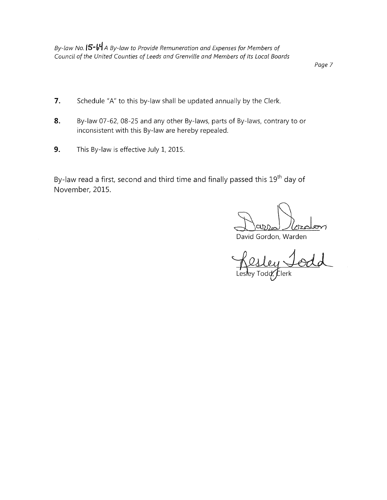By-law No. **15-64** A By-law to Provide Remuneration and Expenses for Members of Council of the United Counties of Leeds and Grenville and Members of Its Local Boards

Page 7

- **7.** Schedule "A" to this by-law shall be updated annually by the Clerk.
- **8.** By-law 07-62, 08-25 and any other By-laws, parts of By-laws, contrary to or inconsistent with this By-law are hereby repealed.
- **9.** This By-law is effective July 1, 2015.

By-law read a first, second and third time and finally passed this 19<sup>th</sup> day of November, 2015.

David Gordon, Warden<br>Resley Jodd<br>Lesley Todd, Elerk